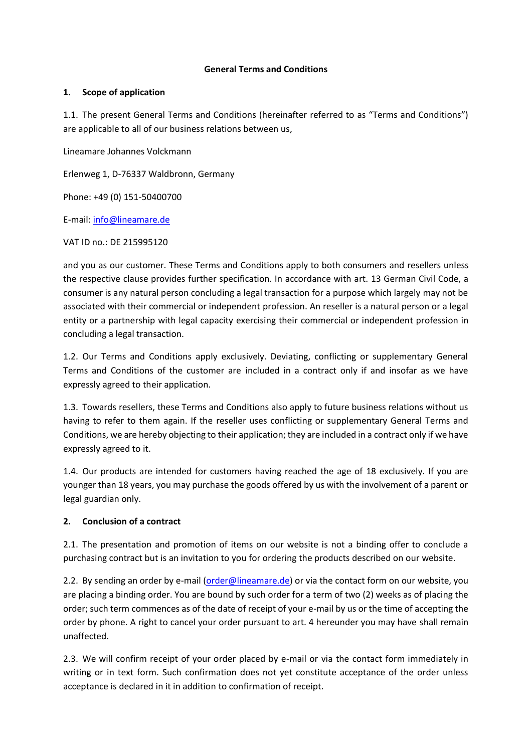#### **General Terms and Conditions**

#### **1. Scope of application**

1.1. The present General Terms and Conditions (hereinafter referred to as "Terms and Conditions") are applicable to all of our business relations between us,

Lineamare Johannes Volckmann

Erlenweg 1, D-76337 Waldbronn, Germany

Phone: +49 (0) 151-50400700

E-mail: [info@lineamare.de](mailto:info@lineamare.de)

VAT ID no.: DE 215995120

and you as our customer. These Terms and Conditions apply to both consumers and resellers unless the respective clause provides further specification. In accordance with art. 13 German Civil Code, a consumer is any natural person concluding a legal transaction for a purpose which largely may not be associated with their commercial or independent profession. An reseller is a natural person or a legal entity or a partnership with legal capacity exercising their commercial or independent profession in concluding a legal transaction.

1.2. Our Terms and Conditions apply exclusively. Deviating, conflicting or supplementary General Terms and Conditions of the customer are included in a contract only if and insofar as we have expressly agreed to their application.

1.3. Towards resellers, these Terms and Conditions also apply to future business relations without us having to refer to them again. If the reseller uses conflicting or supplementary General Terms and Conditions, we are hereby objecting to their application; they are included in a contract only if we have expressly agreed to it.

1.4. Our products are intended for customers having reached the age of 18 exclusively. If you are younger than 18 years, you may purchase the goods offered by us with the involvement of a parent or legal guardian only.

### **2. Conclusion of a contract**

2.1. The presentation and promotion of items on our website is not a binding offer to conclude a purchasing contract but is an invitation to you for ordering the products described on our website.

2.2. By sending an order by e-mail [\(order@lineamare.de\)](mailto:order@lineamare.de) or via the contact form on our website, you are placing a binding order. You are bound by such order for a term of two (2) weeks as of placing the order; such term commences as of the date of receipt of your e-mail by us or the time of accepting the order by phone. A right to cancel your order pursuant to art. 4 hereunder you may have shall remain unaffected.

2.3. We will confirm receipt of your order placed by e-mail or via the contact form immediately in writing or in text form. Such confirmation does not yet constitute acceptance of the order unless acceptance is declared in it in addition to confirmation of receipt.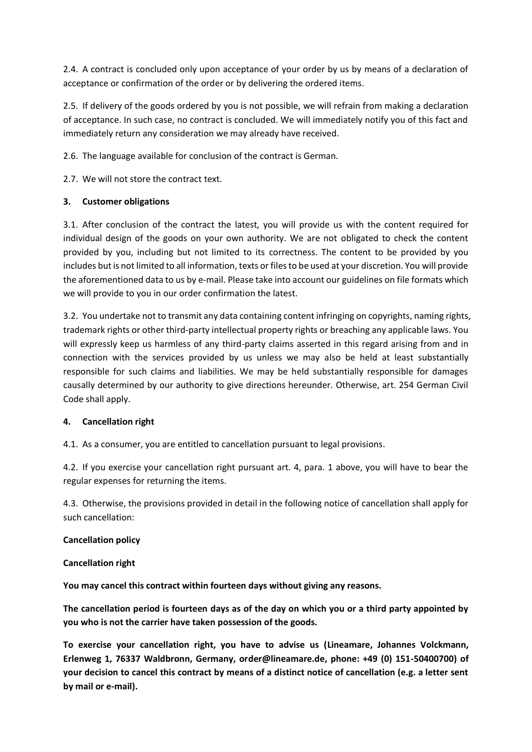2.4. A contract is concluded only upon acceptance of your order by us by means of a declaration of acceptance or confirmation of the order or by delivering the ordered items.

2.5. If delivery of the goods ordered by you is not possible, we will refrain from making a declaration of acceptance. In such case, no contract is concluded. We will immediately notify you of this fact and immediately return any consideration we may already have received.

2.6. The language available for conclusion of the contract is German.

2.7. We will not store the contract text.

# **3. Customer obligations**

3.1. After conclusion of the contract the latest, you will provide us with the content required for individual design of the goods on your own authority. We are not obligated to check the content provided by you, including but not limited to its correctness. The content to be provided by you includes but is not limited to all information, texts or files to be used at your discretion. You will provide the aforementioned data to us by e-mail. Please take into account our guidelines on file formats which we will provide to you in our order confirmation the latest.

3.2. You undertake not to transmit any data containing content infringing on copyrights, naming rights, trademark rights or other third-party intellectual property rights or breaching any applicable laws. You will expressly keep us harmless of any third-party claims asserted in this regard arising from and in connection with the services provided by us unless we may also be held at least substantially responsible for such claims and liabilities. We may be held substantially responsible for damages causally determined by our authority to give directions hereunder. Otherwise, art. 254 German Civil Code shall apply.

### **4. Cancellation right**

4.1. As a consumer, you are entitled to cancellation pursuant to legal provisions.

4.2. If you exercise your cancellation right pursuant art. 4, para. 1 above, you will have to bear the regular expenses for returning the items.

4.3. Otherwise, the provisions provided in detail in the following notice of cancellation shall apply for such cancellation:

### **Cancellation policy**

### **Cancellation right**

**You may cancel this contract within fourteen days without giving any reasons.**

**The cancellation period is fourteen days as of the day on which you or a third party appointed by you who is not the carrier have taken possession of the goods.**

**To exercise your cancellation right, you have to advise us (Lineamare, Johannes Volckmann, Erlenweg 1, 76337 Waldbronn, Germany, order@lineamare.de, phone: +49 (0) 151-50400700) of your decision to cancel this contract by means of a distinct notice of cancellation (e.g. a letter sent by mail or e-mail).**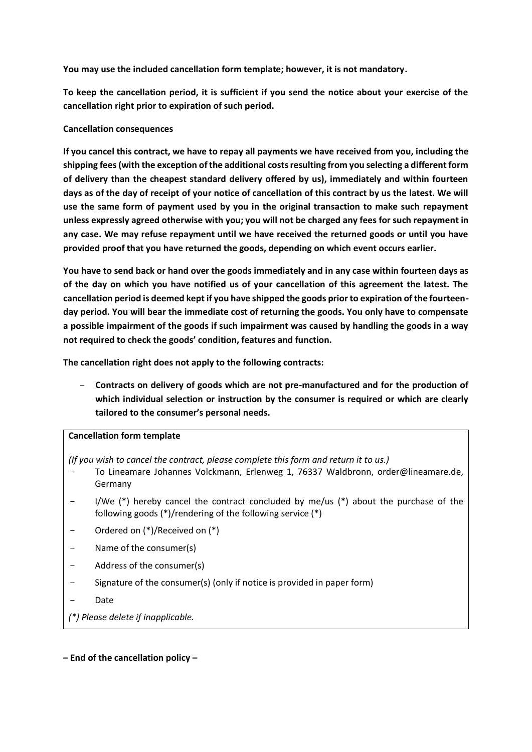**You may use the included cancellation form template; however, it is not mandatory.**

**To keep the cancellation period, it is sufficient if you send the notice about your exercise of the cancellation right prior to expiration of such period.**

#### **Cancellation consequences**

**If you cancel this contract, we have to repay all payments we have received from you, including the shipping fees (with the exception of the additional costs resulting from you selecting a different form of delivery than the cheapest standard delivery offered by us), immediately and within fourteen days as of the day of receipt of your notice of cancellation of this contract by us the latest. We will use the same form of payment used by you in the original transaction to make such repayment unless expressly agreed otherwise with you; you will not be charged any fees for such repayment in any case. We may refuse repayment until we have received the returned goods or until you have provided proof that you have returned the goods, depending on which event occurs earlier.**

**You have to send back or hand over the goods immediately and in any case within fourteen days as of the day on which you have notified us of your cancellation of this agreement the latest. The cancellation period is deemed kept if you have shipped the goods prior to expiration of the fourteenday period. You will bear the immediate cost of returning the goods. You only have to compensate a possible impairment of the goods if such impairment was caused by handling the goods in a way not required to check the goods' condition, features and function.**

**The cancellation right does not apply to the following contracts:**

- **Contracts on delivery of goods which are not pre-manufactured and for the production of which individual selection or instruction by the consumer is required or which are clearly tailored to the consumer's personal needs.**

### **Cancellation form template**

*(If you wish to cancel the contract, please complete this form and return it to us.)*

- To Lineamare Johannes Volckmann, Erlenweg 1, 76337 Waldbronn, order@lineamare.de, Germany
- I/We  $(*)$  hereby cancel the contract concluded by me/us  $(*)$  about the purchase of the following goods (\*)/rendering of the following service (\*)
- Ordered on (\*)/Received on (\*)
- Name of the consumer(s)
- Address of the consumer(s)
- Signature of the consumer(s) (only if notice is provided in paper form)
- **Date**

*(\*) Please delete if inapplicable.*

#### **– End of the cancellation policy –**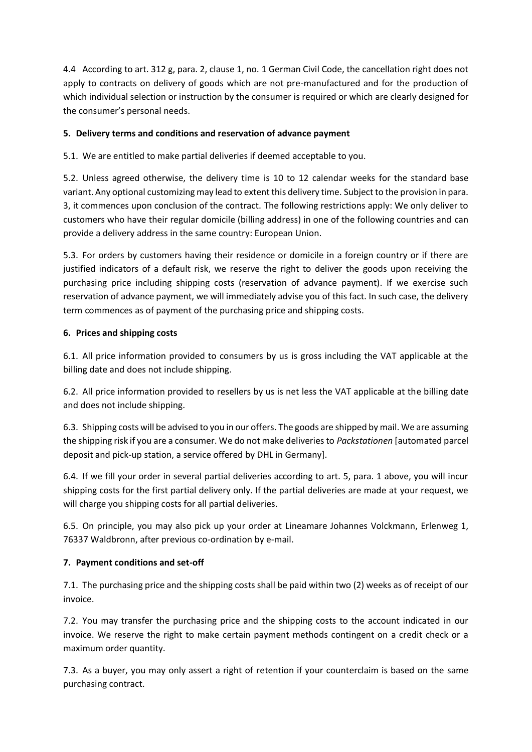4.4 According to art. 312 g, para. 2, clause 1, no. 1 German Civil Code, the cancellation right does not apply to contracts on delivery of goods which are not pre-manufactured and for the production of which individual selection or instruction by the consumer is required or which are clearly designed for the consumer's personal needs.

# **5. Delivery terms and conditions and reservation of advance payment**

5.1. We are entitled to make partial deliveries if deemed acceptable to you.

5.2. Unless agreed otherwise, the delivery time is 10 to 12 calendar weeks for the standard base variant. Any optional customizing may lead to extent this delivery time. Subject to the provision in para. 3, it commences upon conclusion of the contract. The following restrictions apply: We only deliver to customers who have their regular domicile (billing address) in one of the following countries and can provide a delivery address in the same country: European Union.

5.3. For orders by customers having their residence or domicile in a foreign country or if there are justified indicators of a default risk, we reserve the right to deliver the goods upon receiving the purchasing price including shipping costs (reservation of advance payment). If we exercise such reservation of advance payment, we will immediately advise you of this fact. In such case, the delivery term commences as of payment of the purchasing price and shipping costs.

### **6. Prices and shipping costs**

6.1. All price information provided to consumers by us is gross including the VAT applicable at the billing date and does not include shipping.

6.2. All price information provided to resellers by us is net less the VAT applicable at the billing date and does not include shipping.

6.3. Shipping costs will be advised to you in our offers. The goods are shipped by mail. We are assuming the shipping risk if you are a consumer. We do not make deliveries to *Packstationen* [automated parcel deposit and pick-up station, a service offered by DHL in Germany].

6.4. If we fill your order in several partial deliveries according to art. 5, para. 1 above, you will incur shipping costs for the first partial delivery only. If the partial deliveries are made at your request, we will charge you shipping costs for all partial deliveries.

6.5. On principle, you may also pick up your order at Lineamare Johannes Volckmann, Erlenweg 1, 76337 Waldbronn, after previous co-ordination by e-mail.

### **7. Payment conditions and set-off**

7.1. The purchasing price and the shipping costs shall be paid within two (2) weeks as of receipt of our invoice.

7.2. You may transfer the purchasing price and the shipping costs to the account indicated in our invoice. We reserve the right to make certain payment methods contingent on a credit check or a maximum order quantity.

7.3. As a buyer, you may only assert a right of retention if your counterclaim is based on the same purchasing contract.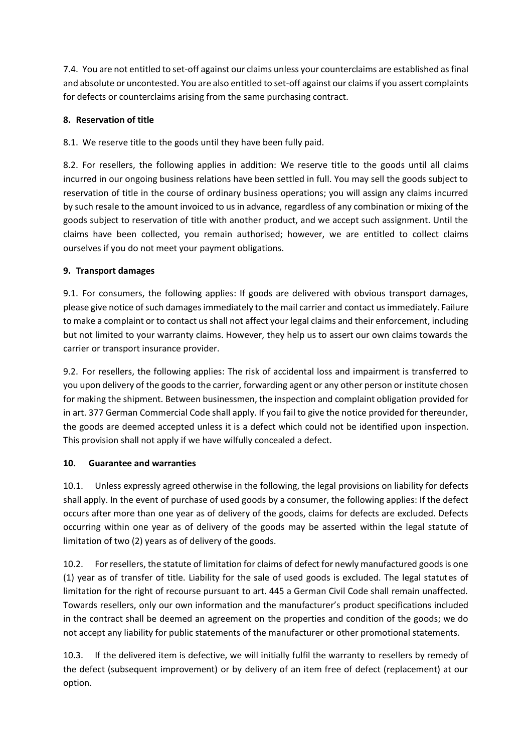7.4. You are not entitled to set-off against our claims unless your counterclaims are established as final and absolute or uncontested. You are also entitled to set-off against our claims if you assert complaints for defects or counterclaims arising from the same purchasing contract.

### **8. Reservation of title**

8.1. We reserve title to the goods until they have been fully paid.

8.2. For resellers, the following applies in addition: We reserve title to the goods until all claims incurred in our ongoing business relations have been settled in full. You may sell the goods subject to reservation of title in the course of ordinary business operations; you will assign any claims incurred by such resale to the amount invoiced to us in advance, regardless of any combination or mixing of the goods subject to reservation of title with another product, and we accept such assignment. Until the claims have been collected, you remain authorised; however, we are entitled to collect claims ourselves if you do not meet your payment obligations.

### **9. Transport damages**

9.1. For consumers, the following applies: If goods are delivered with obvious transport damages, please give notice of such damages immediately to the mail carrier and contact us immediately. Failure to make a complaint or to contact us shall not affect your legal claims and their enforcement, including but not limited to your warranty claims. However, they help us to assert our own claims towards the carrier or transport insurance provider.

9.2. For resellers, the following applies: The risk of accidental loss and impairment is transferred to you upon delivery of the goods to the carrier, forwarding agent or any other person or institute chosen for making the shipment. Between businessmen, the inspection and complaint obligation provided for in art. 377 German Commercial Code shall apply. If you fail to give the notice provided for thereunder, the goods are deemed accepted unless it is a defect which could not be identified upon inspection. This provision shall not apply if we have wilfully concealed a defect.

### **10. Guarantee and warranties**

10.1. Unless expressly agreed otherwise in the following, the legal provisions on liability for defects shall apply. In the event of purchase of used goods by a consumer, the following applies: If the defect occurs after more than one year as of delivery of the goods, claims for defects are excluded. Defects occurring within one year as of delivery of the goods may be asserted within the legal statute of limitation of two (2) years as of delivery of the goods.

10.2. For resellers, the statute of limitation for claims of defect for newly manufactured goods is one (1) year as of transfer of title. Liability for the sale of used goods is excluded. The legal statutes of limitation for the right of recourse pursuant to art. 445 a German Civil Code shall remain unaffected. Towards resellers, only our own information and the manufacturer's product specifications included in the contract shall be deemed an agreement on the properties and condition of the goods; we do not accept any liability for public statements of the manufacturer or other promotional statements.

10.3. If the delivered item is defective, we will initially fulfil the warranty to resellers by remedy of the defect (subsequent improvement) or by delivery of an item free of defect (replacement) at our option.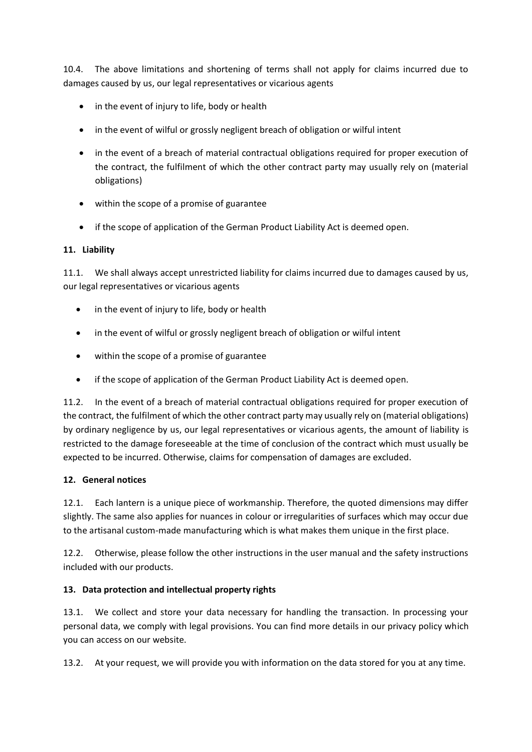10.4. The above limitations and shortening of terms shall not apply for claims incurred due to damages caused by us, our legal representatives or vicarious agents

- in the event of injury to life, body or health
- in the event of wilful or grossly negligent breach of obligation or wilful intent
- in the event of a breach of material contractual obligations required for proper execution of the contract, the fulfilment of which the other contract party may usually rely on (material obligations)
- within the scope of a promise of guarantee
- if the scope of application of the German Product Liability Act is deemed open.

### **11. Liability**

11.1. We shall always accept unrestricted liability for claims incurred due to damages caused by us, our legal representatives or vicarious agents

- in the event of injury to life, body or health
- in the event of wilful or grossly negligent breach of obligation or wilful intent
- within the scope of a promise of guarantee
- if the scope of application of the German Product Liability Act is deemed open.

11.2. In the event of a breach of material contractual obligations required for proper execution of the contract, the fulfilment of which the other contract party may usually rely on (material obligations) by ordinary negligence by us, our legal representatives or vicarious agents, the amount of liability is restricted to the damage foreseeable at the time of conclusion of the contract which must usually be expected to be incurred. Otherwise, claims for compensation of damages are excluded.

### **12. General notices**

12.1. Each lantern is a unique piece of workmanship. Therefore, the quoted dimensions may differ slightly. The same also applies for nuances in colour or irregularities of surfaces which may occur due to the artisanal custom-made manufacturing which is what makes them unique in the first place.

12.2. Otherwise, please follow the other instructions in the user manual and the safety instructions included with our products.

### **13. Data protection and intellectual property rights**

13.1. We collect and store your data necessary for handling the transaction. In processing your personal data, we comply with legal provisions. You can find more details in our privacy policy which you can access on our website.

13.2. At your request, we will provide you with information on the data stored for you at any time.